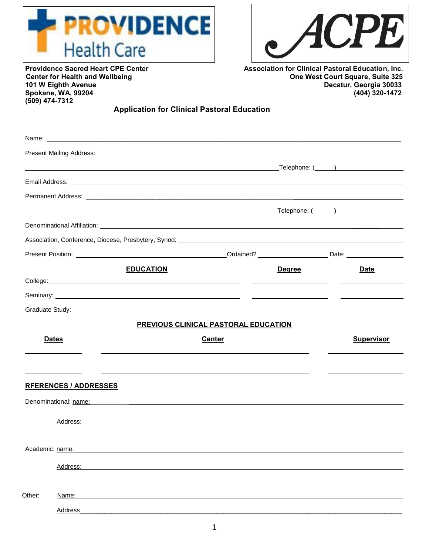



**Spokane, WA, 99204 (509) 474-7312** 

**Providence Sacred Heart CPE Center Association for Clinical Pastoral Education, Inc.**<br>Center for Health and Wellbeing **Association Center Court Square, Suite 325** Center for Health and Wellbeing **Center for Health and Wellbeing Center for Health and Wellbeing**<br>101 W Eighth Avenue **Decatur, Georgia 30033 101 W Eighth Avenue Decatur, Georgia 30033** 

## **Application for Clinical Pastoral Education**

|                 |                              | <u> 1989 - Johann Barn, amerikansk politiker (d. 1989)</u> |                                             |                                                                                                                       |                                               |
|-----------------|------------------------------|------------------------------------------------------------|---------------------------------------------|-----------------------------------------------------------------------------------------------------------------------|-----------------------------------------------|
|                 |                              |                                                            |                                             |                                                                                                                       |                                               |
|                 |                              |                                                            |                                             |                                                                                                                       |                                               |
|                 |                              |                                                            |                                             |                                                                                                                       | <b>Example 2018</b> Telephone: (Capture 2019) |
|                 |                              |                                                            |                                             |                                                                                                                       |                                               |
|                 |                              |                                                            |                                             |                                                                                                                       |                                               |
|                 |                              |                                                            |                                             |                                                                                                                       |                                               |
|                 |                              | <b>EDUCATION</b>                                           |                                             | <b>Degree</b>                                                                                                         | <b>Date</b>                                   |
|                 |                              |                                                            |                                             |                                                                                                                       |                                               |
|                 |                              |                                                            |                                             |                                                                                                                       |                                               |
|                 |                              |                                                            |                                             | <u> Alexandro de la contenta de la contenta de la contenta de la contenta de la contenta de la contenta de la con</u> |                                               |
|                 |                              |                                                            | <b>PREVIOUS CLINICAL PASTORAL EDUCATION</b> |                                                                                                                       |                                               |
|                 | <b>Dates</b>                 |                                                            | <b>Center</b>                               |                                                                                                                       | <b>Supervisor</b>                             |
|                 |                              |                                                            |                                             |                                                                                                                       |                                               |
|                 |                              |                                                            |                                             |                                                                                                                       |                                               |
|                 | <b>RFERENCES / ADDRESSES</b> |                                                            |                                             |                                                                                                                       |                                               |
|                 |                              |                                                            |                                             |                                                                                                                       |                                               |
|                 |                              |                                                            |                                             |                                                                                                                       |                                               |
|                 | Address:                     |                                                            |                                             |                                                                                                                       |                                               |
| Academic: name: |                              |                                                            |                                             |                                                                                                                       |                                               |
|                 | Address:                     |                                                            |                                             |                                                                                                                       |                                               |
|                 |                              |                                                            |                                             |                                                                                                                       |                                               |
| Other:          | Name:                        |                                                            |                                             |                                                                                                                       |                                               |
|                 | Address                      |                                                            |                                             |                                                                                                                       |                                               |
|                 |                              |                                                            |                                             |                                                                                                                       |                                               |